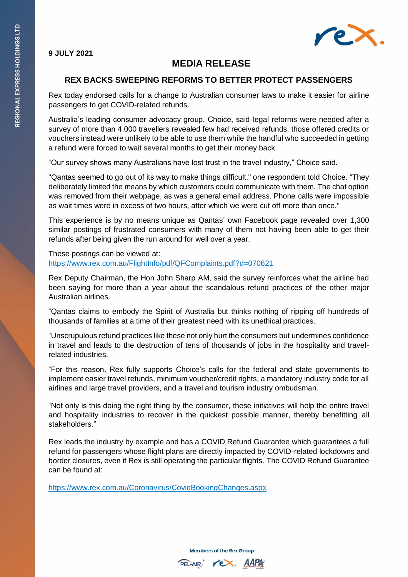

## **9 JULY 2021**

# **MEDIA RELEASE**

## **REX BACKS SWEEPING REFORMS TO BETTER PROTECT PASSENGERS**

Rex today endorsed calls for a change to Australian consumer laws to make it easier for airline passengers to get COVID-related refunds.

Australia's leading consumer advocacy group, Choice, said legal reforms were needed after a survey of more than 4,000 travellers revealed few had received refunds, those offered credits or vouchers instead were unlikely to be able to use them while the handful who succeeded in getting a refund were forced to wait several months to get their money back.

"Our survey shows many Australians have lost trust in the travel industry," Choice said.

"Qantas seemed to go out of its way to make things difficult," one respondent told Choice. "They deliberately limited the means by which customers could communicate with them. The chat option was removed from their webpage, as was a general email address. Phone calls were impossible as wait times were in excess of two hours, after which we were cut off more than once."

This experience is by no means unique as Qantas' own Facebook page revealed over 1,300 similar postings of frustrated consumers with many of them not having been able to get their refunds after being given the run around for well over a year.

These postings can be viewed at: <https://www.rex.com.au/FlightInfo/pdf/QFComplaints.pdf?d=070621>

Rex Deputy Chairman, the Hon John Sharp AM, said the survey reinforces what the airline had been saying for more than a year about the scandalous refund practices of the other major Australian airlines.

"Qantas claims to embody the Spirit of Australia but thinks nothing of ripping off hundreds of thousands of families at a time of their greatest need with its unethical practices.

"Unscrupulous refund practices like these not only hurt the consumers but undermines confidence in travel and leads to the destruction of tens of thousands of jobs in the hospitality and travelrelated industries.

"For this reason, Rex fully supports Choice's calls for the federal and state governments to implement easier travel refunds, minimum voucher/credit rights, a mandatory industry code for all airlines and large travel providers, and a travel and tourism industry ombudsman.

"Not only is this doing the right thing by the consumer, these initiatives will help the entire travel and hospitality industries to recover in the quickest possible manner, thereby benefitting all stakeholders."

Rex leads the industry by example and has a COVID Refund Guarantee which guarantees a full refund for passengers whose flight plans are directly impacted by COVID-related lockdowns and border closures, even if Rex is still operating the particular flights. The COVID Refund Guarantee can be found at:

<https://www.rex.com.au/Coronavirus/CovidBookingChanges.aspx>

**Members of the Rex Group**